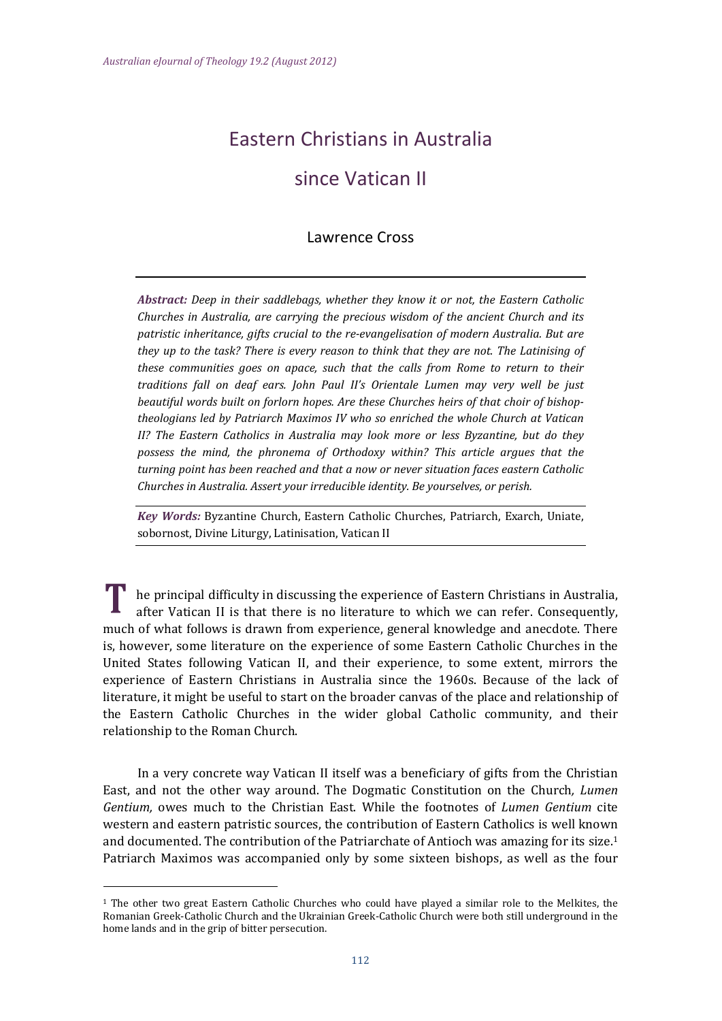## Eastern Christians in Australia

## since Vatican II

## Lawrence Cross

*Abstract: Deep in their saddlebags, whether they know it or not, the Eastern Catholic Churches in Australia, are carrying the precious wisdom of the ancient Church and its patristic inheritance, gifts crucial to the re‐evangelisation of modern Australia. But are they up to the task? There is every reason to think that they are not. The Latinising of these communities goes on apace, such that the calls from Rome to return to their traditions fall on deaf ears. John Paul II's Orientale Lumen may very well be just beautiful words built on forlorn hopes. Are these Churches heirs of that choir of bishop‐ theologians led by Patriarch Maximos IV who so enriched the whole Church at Vatican II? The Eastern Catholics in Australia may look more or less Byzantine, but do they possess the mind, the phronema of Orthodoxy within? This article argues that the turning point has been reached and that a now or never situation faces eastern Catholic Churches in Australia. Assert your irreducible identity. Be yourselves, or perish.* 

*Key Words:* Byzantine Church, Eastern Catholic Churches, Patriarch, Exarch, Uniate, sobornost, Divine Liturgy, Latinisation, Vatican II

he principal difficulty in discussing the experience of Eastern Christians in Australia, after Vatican II is that there is no literature to which we can refer. Consequently, much of what follows is drawn from experience, general knowledge and anecdote. There is, however, some literature on the experience of some Eastern Catholic Churches in the United States following Vatican II, and their experience, to some extent, mirrors the experience of Eastern Christians in Australia since the 1960s. Because of the lack of literature, it might be useful to start on the broader canvas of the place and relationship of the Eastern Catholic Churches in the wider global Catholic community, and their relationship to the Roman Church.

In a very concrete way Vatican II itself was a beneficiary of gifts from the Christian East, and not the other way around. The Dogmatic Constitution on the Church, *Lumen Gentium,* owes much to the Christian East. While the footnotes of *Lumen Gentium* cite western and eastern patristic sources, the contribution of Eastern Catholics is well known and documented. The contribution of the Patriarchate of Antioch was amazing for its size.<sup>1</sup> Patriarch Maximos was accompanied only by some sixteen bishops, as well as the four

 $1$  The other two great Eastern Catholic Churches who could have played a similar role to the Melkites, the Romanian Greek-Catholic Church and the Ukrainian Greek-Catholic Church were both still underground in the home lands and in the grip of bitter persecution.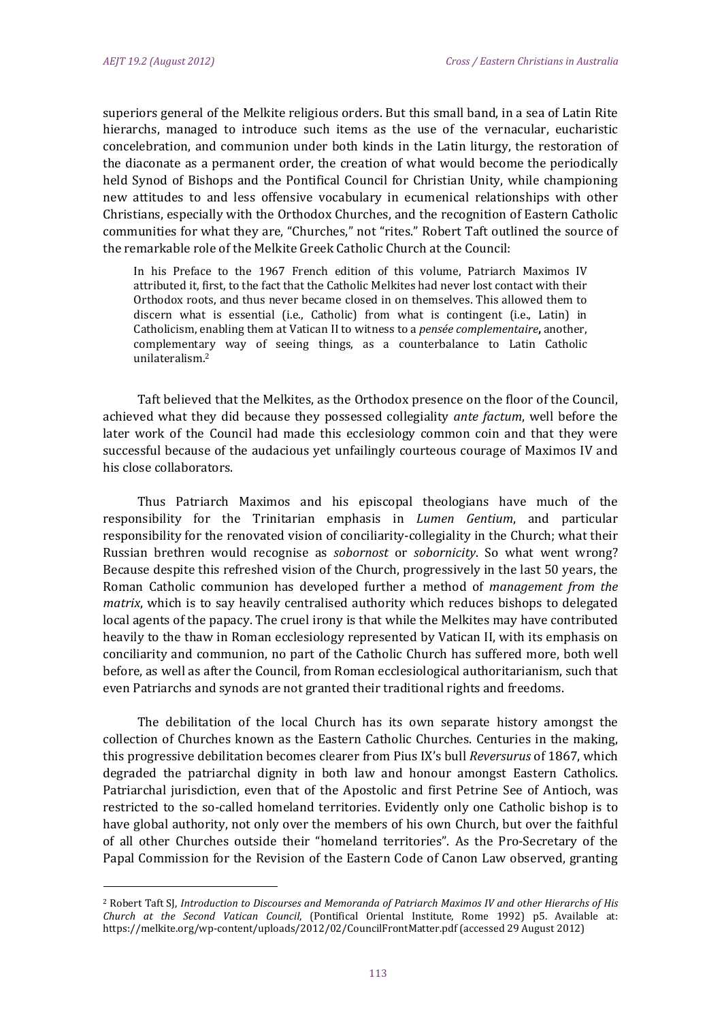superiors general of the Melkite religious orders. But this small band, in a sea of Latin Rite hierarchs, managed to introduce such items as the use of the vernacular, eucharistic concelebration, and communion under both kinds in the Latin liturgy, the restoration of the diaconate as a permanent order, the creation of what would become the periodically held Synod of Bishops and the Pontifical Council for Christian Unity, while championing new attitudes to and less offensive vocabulary in ecumenical relationships with other Christians, especially with the Orthodox Churches, and the recognition of Eastern Catholic communities for what they are, "Churches," not "rites." Robert Taft outlined the source of the remarkable role of the Melkite Greek Catholic Church at the Council:

In his Preface to the 1967 French edition of this volume, Patriarch Maximos IV attributed it, first, to the fact that the Catholic Melkites had never lost contact with their Orthodox roots, and thus never became closed in on themselves. This allowed them to discern what is essential (i.e., Catholic) from what is contingent (i.e., Latin) in Catholicism, enabling them at Vatican II to witness to a *pensée complementaire*, another, complementary way of seeing things, as a counterbalance to Latin Catholic unilateralism.2

Taft believed that the Melkites, as the Orthodox presence on the floor of the Council, achieved what they did because they possessed collegiality ante factum, well before the later work of the Council had made this ecclesiology common coin and that they were successful because of the audacious yet unfailingly courteous courage of Maximos IV and his close collaborators.

Thus Patriarch Maximos and his episcopal theologians have much of the responsibility for the Trinitarian emphasis in *Lumen Gentium*, and particular responsibility for the renovated vision of conciliarity-collegiality in the Church; what their Russian brethren would recognise as *sobornost* or *sobornicity*. So what went wrong? Because despite this refreshed vision of the Church, progressively in the last 50 years, the Roman Catholic communion has developed further a method of *management* from the *matrix*, which is to say heavily centralised authority which reduces bishops to delegated local agents of the papacy. The cruel irony is that while the Melkites may have contributed heavily to the thaw in Roman ecclesiology represented by Vatican II, with its emphasis on conciliarity and communion, no part of the Catholic Church has suffered more, both well before, as well as after the Council, from Roman ecclesiological authoritarianism, such that even Patriarchs and synods are not granted their traditional rights and freedoms.

The debilitation of the local Church has its own separate history amongst the collection of Churches known as the Eastern Catholic Churches. Centuries in the making, this progressive debilitation becomes clearer from Pius IX's bull *Reversurus* of 1867, which degraded the patriarchal dignity in both law and honour amongst Eastern Catholics. Patriarchal jurisdiction, even that of the Apostolic and first Petrine See of Antioch, was restricted to the so-called homeland territories. Evidently only one Catholic bishop is to have global authority, not only over the members of his own Church, but over the faithful of all other Churches outside their "homeland territories". As the Pro-Secretary of the Papal Commission for the Revision of the Eastern Code of Canon Law observed, granting

<sup>2</sup> Robert Taft SJ, *Introduction to Discourses and Memoranda of Patriarch Maximos IV and other Hierarchs of His Church at the Second Vatican Council*, (Pontifical Oriental Institute, Rome 1992) p5. Available at: https://melkite.org/wp-content/uploads/2012/02/CouncilFrontMatter.pdf (accessed 29 August 2012)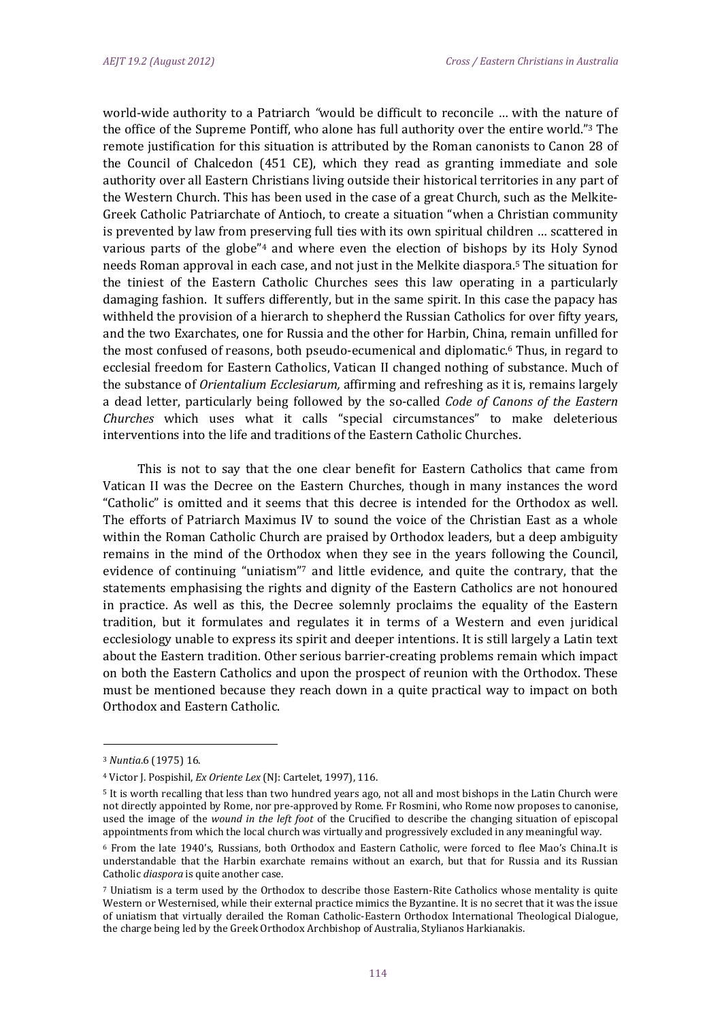world-wide authority to a Patriarch "would be difficult to reconcile ... with the nature of the office of the Supreme Pontiff, who alone has full authority over the entire world."<sup>3</sup> The remote justification for this situation is attributed by the Roman canonists to Canon 28 of the Council of Chalcedon  $(451 \nE)$ , which they read as granting immediate and sole authority over all Eastern Christians living outside their historical territories in any part of the Western Church. This has been used in the case of a great Church, such as the Melkite-Greek Catholic Patriarchate of Antioch, to create a situation "when a Christian community is prevented by law from preserving full ties with its own spiritual children ... scattered in various parts of the globe"<sup>4</sup> and where even the election of bishops by its Holy Synod needs Roman approval in each case, and not just in the Melkite diaspora.<sup>5</sup> The situation for the tiniest of the Eastern Catholic Churches sees this law operating in a particularly damaging fashion. It suffers differently, but in the same spirit. In this case the papacy has withheld the provision of a hierarch to shepherd the Russian Catholics for over fifty years, and the two Exarchates, one for Russia and the other for Harbin, China, remain unfilled for the most confused of reasons, both pseudo-ecumenical and diplomatic.<sup>6</sup> Thus, in regard to ecclesial freedom for Eastern Catholics, Vatican II changed nothing of substance. Much of the substance of *Orientalium Ecclesiarum*, affirming and refreshing as it is, remains largely a dead letter, particularly being followed by the so‐called *Code of Canons of the Eastern Churches* which uses what it calls "special circumstances" to make deleterious interventions into the life and traditions of the Eastern Catholic Churches.

This is not to say that the one clear benefit for Eastern Catholics that came from Vatican II was the Decree on the Eastern Churches, though in many instances the word "Catholic" is omitted and it seems that this decree is intended for the Orthodox as well. The efforts of Patriarch Maximus IV to sound the voice of the Christian East as a whole within the Roman Catholic Church are praised by Orthodox leaders, but a deep ambiguity remains in the mind of the Orthodox when they see in the years following the Council, evidence of continuing "uniatism"? and little evidence, and quite the contrary, that the statements emphasising the rights and dignity of the Eastern Catholics are not honoured in practice. As well as this, the Decree solemnly proclaims the equality of the Eastern tradition, but it formulates and regulates it in terms of a Western and even juridical ecclesiology unable to express its spirit and deeper intentions. It is still largely a Latin text about the Eastern tradition. Other serious barrier-creating problems remain which impact on both the Eastern Catholics and upon the prospect of reunion with the Orthodox. These must be mentioned because they reach down in a quite practical way to impact on both Orthodox and Eastern Catholic.

<sup>&</sup>lt;sup>3</sup> *Nuntia.*6 (1975) 16.

<sup>&</sup>lt;sup>4</sup> Victor J. Pospishil, *Ex Oriente Lex* (NJ: Cartelet, 1997), 116.

<sup>&</sup>lt;sup>5</sup> It is worth recalling that less than two hundred years ago, not all and most bishops in the Latin Church were not directly appointed by Rome, nor pre-approved by Rome. Fr Rosmini, who Rome now proposes to canonise, used the image of the *wound* in the left foot of the Crucified to describe the changing situation of episcopal appointments from which the local church was virtually and progressively excluded in any meaningful way.

<sup>&</sup>lt;sup>6</sup> From the late 1940's, Russians, both Orthodox and Eastern Catholic, were forced to flee Mao's China.It is understandable that the Harbin exarchate remains without an exarch, but that for Russia and its Russian Catholic *diaspora* is quite another case.

<sup>7</sup> Uniatism is a term used by the Orthodox to describe those Eastern-Rite Catholics whose mentality is quite Western or Westernised, while their external practice mimics the Byzantine. It is no secret that it was the issue of uniatism that virtually derailed the Roman Catholic-Eastern Orthodox International Theological Dialogue, the charge being led by the Greek Orthodox Archbishop of Australia, Stylianos Harkianakis.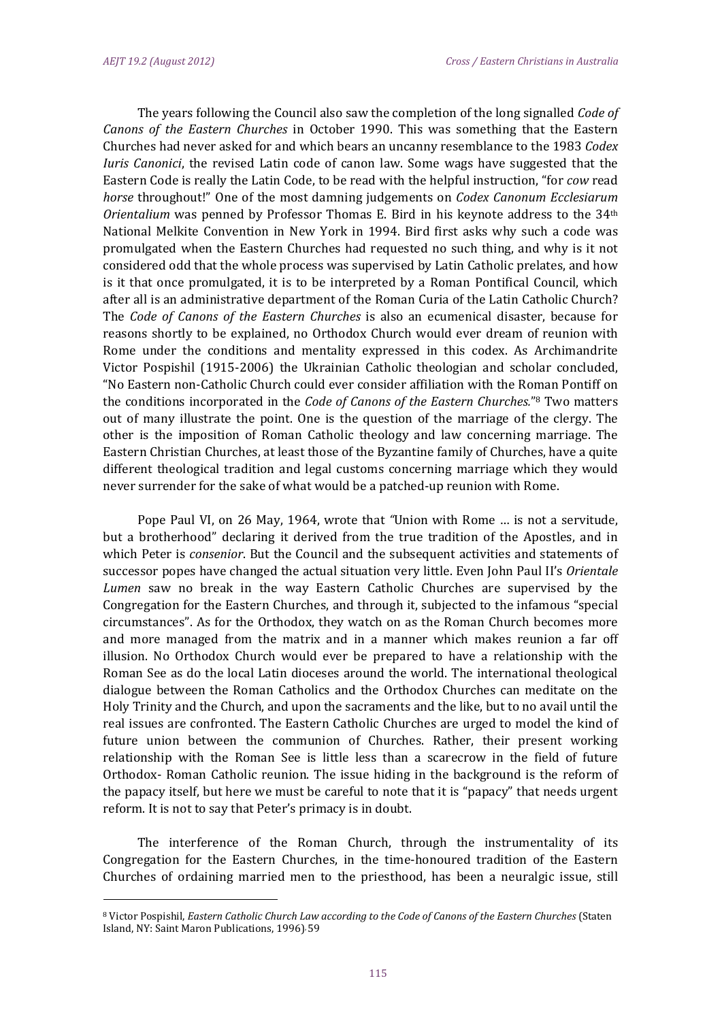The years following the Council also saw the completion of the long signalled *Code of Canons* of the *Eastern Churches* in October 1990. This was something that the Eastern Churches had never asked for and which bears an uncanny resemblance to the 1983 *Codex Iuris Canonici*, the revised Latin code of canon law. Some wags have suggested that the Eastern Code is really the Latin Code, to be read with the helpful instruction, "for *cow* read *horse* throughout!" One of the most damning judgements on *Codex Canonum Ecclesiarum Orientalium* was penned by Professor Thomas E. Bird in his keynote address to the 34<sup>th</sup> National Melkite Convention in New York in 1994. Bird first asks why such a code was promulgated when the Eastern Churches had requested no such thing, and why is it not considered odd that the whole process was supervised by Latin Catholic prelates, and how is it that once promulgated, it is to be interpreted by a Roman Pontifical Council, which after all is an administrative department of the Roman Curia of the Latin Catholic Church? The *Code of Canons of the Eastern Churches* is also an ecumenical disaster, because for reasons shortly to be explained, no Orthodox Church would ever dream of reunion with Rome under the conditions and mentality expressed in this codex. As Archimandrite Victor Pospishil (1915-2006) the Ukrainian Catholic theologian and scholar concluded, "No Eastern non-Catholic Church could ever consider affiliation with the Roman Pontiff on the conditions incorporated in the *Code of Canons of the Eastern Churches.*"<sup>8</sup> Two matters out of many illustrate the point. One is the question of the marriage of the clergy. The other is the imposition of Roman Catholic theology and law concerning marriage. The Eastern Christian Churches, at least those of the Byzantine family of Churches, have a quite different theological tradition and legal customs concerning marriage which they would never surrender for the sake of what would be a patched-up reunion with Rome.

Pope Paul VI, on 26 May, 1964, wrote that *"*Union with Rome ... is not a servitude, but a brotherhood" declaring it derived from the true tradition of the Apostles, and in which Peter is *consenior*. But the Council and the subsequent activities and statements of successor popes have changed the actual situation very little. Even John Paul II's Orientale Lumen saw no break in the way Eastern Catholic Churches are supervised by the Congregation for the Eastern Churches, and through it, subjected to the infamous "special circumstances". As for the Orthodox, they watch on as the Roman Church becomes more and more managed from the matrix and in a manner which makes reunion a far off illusion. No Orthodox Church would ever be prepared to have a relationship with the Roman See as do the local Latin dioceses around the world. The international theological dialogue between the Roman Catholics and the Orthodox Churches can meditate on the Holy Trinity and the Church, and upon the sacraments and the like, but to no avail until the real issues are confronted. The Eastern Catholic Churches are urged to model the kind of future union between the communion of Churches. Rather, their present working relationship with the Roman See is little less than a scarecrow in the field of future Orthodox- Roman Catholic reunion. The issue hiding in the background is the reform of the papacy itself, but here we must be careful to note that it is "papacy" that needs urgent reform. It is not to say that Peter's primacy is in doubt.

The interference of the Roman Church, through the instrumentality of its Congregation for the Eastern Churches, in the time-honoured tradition of the Eastern Churches of ordaining married men to the priesthood, has been a neuralgic issue, still

<sup>8</sup> Victor Pospishil, *Eastern Catholic Church Law according to the Code of Canons of the Eastern Churches* (Staten Island, NY: Saint Maron Publications, 1996), 59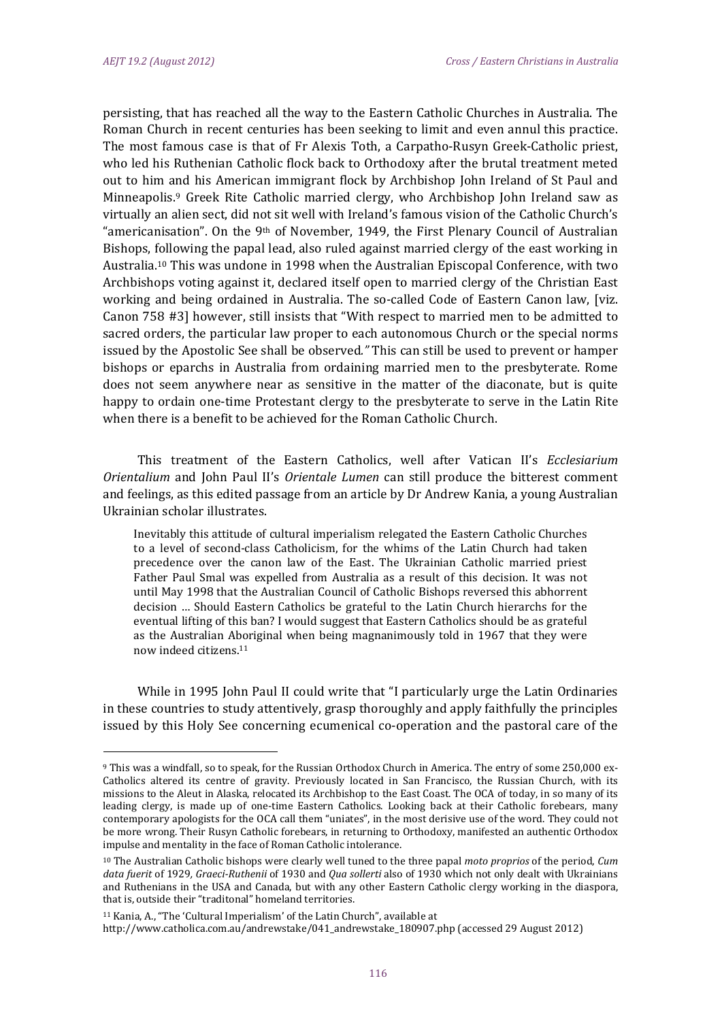persisting, that has reached all the way to the Eastern Catholic Churches in Australia. The Roman Church in recent centuries has been seeking to limit and even annul this practice. The most famous case is that of Fr Alexis Toth, a Carpatho-Rusyn Greek-Catholic priest, who led his Ruthenian Catholic flock back to Orthodoxy after the brutal treatment meted out to him and his American immigrant flock by Archbishop John Ireland of St Paul and Minneapolis.<sup>9</sup> Greek Rite Catholic married clergy, who Archbishop John Ireland saw as virtually an alien sect, did not sit well with Ireland's famous vision of the Catholic Church's "americanisation". On the 9<sup>th</sup> of November, 1949, the First Plenary Council of Australian Bishops, following the papal lead, also ruled against married clergy of the east working in Australia.<sup>10</sup> This was undone in 1998 when the Australian Episcopal Conference, with two Archbishops voting against it, declared itself open to married clergy of the Christian East working and being ordained in Australia. The so-called Code of Eastern Canon law, [viz. Canon 758 #3] however, still insists that "With respect to married men to be admitted to sacred orders, the particular law proper to each autonomous Church or the special norms issued by the Apostolic See shall be observed." This can still be used to prevent or hamper bishops or eparchs in Australia from ordaining married men to the presbyterate. Rome does not seem anywhere near as sensitive in the matter of the diaconate, but is quite happy to ordain one-time Protestant clergy to the presbyterate to serve in the Latin Rite when there is a benefit to be achieved for the Roman Catholic Church.

This treatment of the Eastern Catholics, well after Vatican II's *Ecclesiarium Orientalium* and *John Paul II's Orientale Lumen* can still produce the bitterest comment and feelings, as this edited passage from an article by Dr Andrew Kania, a young Australian Ukrainian scholar illustrates.

Inevitably this attitude of cultural imperialism relegated the Eastern Catholic Churches to a level of second-class Catholicism, for the whims of the Latin Church had taken precedence over the canon law of the East. The Ukrainian Catholic married priest Father Paul Smal was expelled from Australia as a result of this decision. It was not until May 1998 that the Australian Council of Catholic Bishops reversed this abhorrent decision ... Should Eastern Catholics be grateful to the Latin Church hierarchs for the eventual lifting of this ban? I would suggest that Eastern Catholics should be as grateful as the Australian Aboriginal when being magnanimously told in 1967 that they were now indeed citizens.11

While in 1995 John Paul II could write that "I particularly urge the Latin Ordinaries in these countries to study attentively, grasp thoroughly and apply faithfully the principles issued by this Holy See concerning ecumenical co-operation and the pastoral care of the

<sup>9</sup> This was a windfall, so to speak, for the Russian Orthodox Church in America. The entry of some 250,000 ex-Catholics altered its centre of gravity. Previously located in San Francisco, the Russian Church, with its missions to the Aleut in Alaska, relocated its Archbishop to the East Coast. The OCA of today, in so many of its leading clergy, is made up of one-time Eastern Catholics. Looking back at their Catholic forebears, many contemporary apologists for the OCA call them "uniates", in the most derisive use of the word. They could not be more wrong. Their Rusyn Catholic forebears, in returning to Orthodoxy, manifested an authentic Orthodox impulse and mentality in the face of Roman Catholic intolerance.

<sup>&</sup>lt;sup>10</sup> The Australian Catholic bishops were clearly well tuned to the three papal *moto proprios* of the period, *Cum* data *fuerit* of 1929, *Graeci*-*Ruthenii* of 1930 and *Qua sollerti* also of 1930 which not only dealt with Ukrainians and Ruthenians in the USA and Canada, but with any other Eastern Catholic clergy working in the diaspora, that is, outside their "traditonal" homeland territories.

 $11$  Kania, A., "The 'Cultural Imperialism' of the Latin Church", available at http://www.catholica.com.au/andrewstake/041\_andrewstake\_180907.php (accessed 29 August 2012)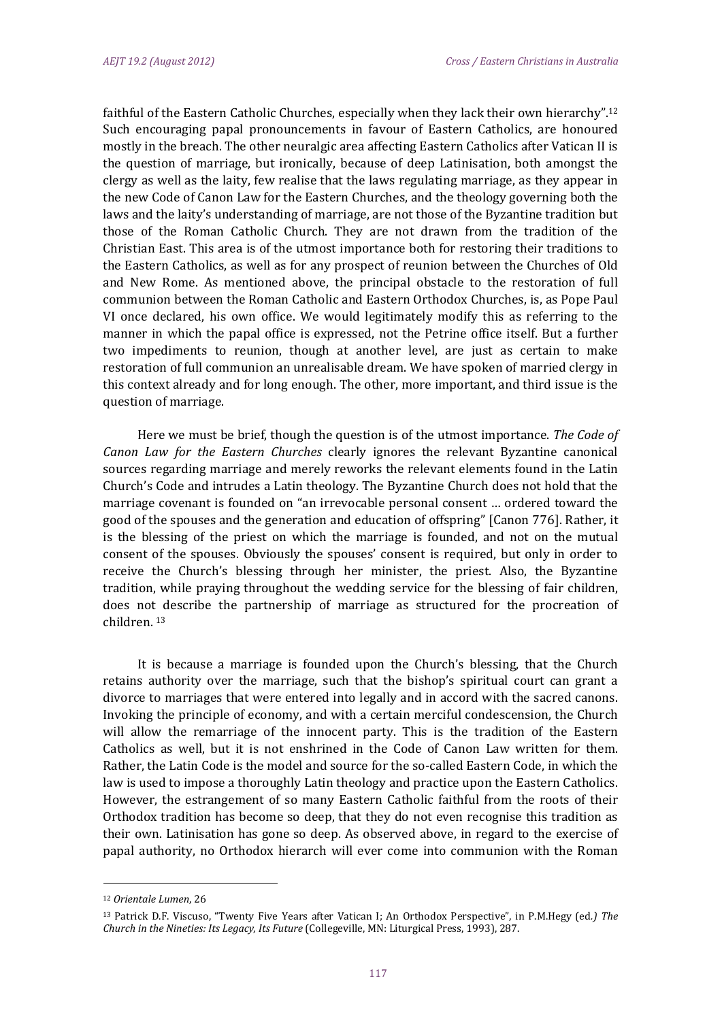faithful of the Eastern Catholic Churches, especially when they lack their own hierarchy".<sup>12</sup> Such encouraging papal pronouncements in favour of Eastern Catholics, are honoured mostly in the breach. The other neuralgic area affecting Eastern Catholics after Vatican II is the question of marriage, but ironically, because of deep Latinisation, both amongst the clergy as well as the laity, few realise that the laws regulating marriage, as they appear in the new Code of Canon Law for the Eastern Churches, and the theology governing both the laws and the laity's understanding of marriage, are not those of the Byzantine tradition but those of the Roman Catholic Church. They are not drawn from the tradition of the Christian East. This area is of the utmost importance both for restoring their traditions to the Eastern Catholics, as well as for any prospect of reunion between the Churches of Old and New Rome. As mentioned above, the principal obstacle to the restoration of full communion between the Roman Catholic and Eastern Orthodox Churches, is, as Pope Paul VI once declared, his own office. We would legitimately modify this as referring to the manner in which the papal office is expressed, not the Petrine office itself. But a further two impediments to reunion, though at another level, are just as certain to make restoration of full communion an unrealisable dream. We have spoken of married clergy in this context already and for long enough. The other, more important, and third issue is the question of marriage.

Here we must be brief, though the question is of the utmost importance. The Code of *Canon Law for the Eastern Churches* clearly ignores the relevant Byzantine canonical sources regarding marriage and merely reworks the relevant elements found in the Latin Church's Code and intrudes a Latin theology. The Byzantine Church does not hold that the marriage covenant is founded on "an irrevocable personal consent ... ordered toward the good of the spouses and the generation and education of offspring" [Canon 776]. Rather, it is the blessing of the priest on which the marriage is founded, and not on the mutual consent of the spouses. Obviously the spouses' consent is required, but only in order to receive the Church's blessing through her minister, the priest. Also, the Byzantine tradition, while praying throughout the wedding service for the blessing of fair children, does not describe the partnership of marriage as structured for the procreation of children.<sup>13</sup>

It is because a marriage is founded upon the Church's blessing, that the Church retains authority over the marriage, such that the bishop's spiritual court can grant a divorce to marriages that were entered into legally and in accord with the sacred canons. Invoking the principle of economy, and with a certain merciful condescension, the Church will allow the remarriage of the innocent party. This is the tradition of the Eastern Catholics as well, but it is not enshrined in the Code of Canon Law written for them. Rather, the Latin Code is the model and source for the so-called Eastern Code, in which the law is used to impose a thoroughly Latin theology and practice upon the Eastern Catholics. However, the estrangement of so many Eastern Catholic faithful from the roots of their Orthodox tradition has become so deep, that they do not even recognise this tradition as their own. Latinisation has gone so deep. As observed above, in regard to the exercise of papal authority, no Orthodox hierarch will ever come into communion with the Roman

<sup>12</sup> *Orientale Lumen*, 26 

<sup>13</sup> Patrick D.F. Viscuso, "Twenty Five Years after Vatican I; An Orthodox Perspective", in P.M.Hegy (ed*.) The Church in the Nineties: Its Legacy, Its Future* (Collegeville, MN: Liturgical Press, 1993), 287.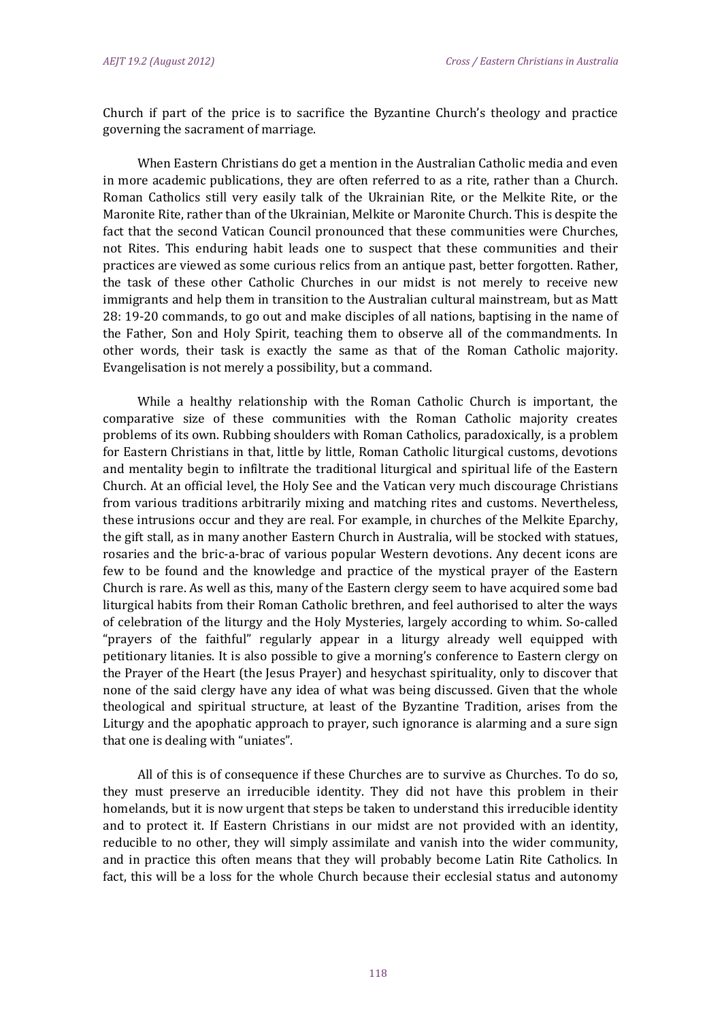Church if part of the price is to sacrifice the Byzantine Church's theology and practice governing the sacrament of marriage.

When Eastern Christians do get a mention in the Australian Catholic media and even in more academic publications, they are often referred to as a rite, rather than a Church. Roman Catholics still very easily talk of the Ukrainian Rite, or the Melkite Rite, or the Maronite Rite, rather than of the Ukrainian, Melkite or Maronite Church. This is despite the fact that the second Vatican Council pronounced that these communities were Churches, not Rites. This enduring habit leads one to suspect that these communities and their practices are viewed as some curious relics from an antique past, better forgotten. Rather, the task of these other Catholic Churches in our midst is not merely to receive new immigrants and help them in transition to the Australian cultural mainstream, but as Matt 28: 19-20 commands, to go out and make disciples of all nations, baptising in the name of the Father, Son and Holy Spirit, teaching them to observe all of the commandments. In other words, their task is exactly the same as that of the Roman Catholic majority. Evangelisation is not merely a possibility, but a command.

While a healthy relationship with the Roman Catholic Church is important, the comparative size of these communities with the Roman Catholic majority creates problems of its own. Rubbing shoulders with Roman Catholics, paradoxically, is a problem for Eastern Christians in that, little by little, Roman Catholic liturgical customs, devotions and mentality begin to infiltrate the traditional liturgical and spiritual life of the Eastern Church. At an official level, the Holy See and the Vatican very much discourage Christians from various traditions arbitrarily mixing and matching rites and customs. Nevertheless, these intrusions occur and they are real. For example, in churches of the Melkite Eparchy, the gift stall, as in many another Eastern Church in Australia, will be stocked with statues, rosaries and the bric-a-brac of various popular Western devotions. Any decent icons are few to be found and the knowledge and practice of the mystical prayer of the Eastern Church is rare. As well as this, many of the Eastern clergy seem to have acquired some bad liturgical habits from their Roman Catholic brethren, and feel authorised to alter the ways of celebration of the liturgy and the Holy Mysteries, largely according to whim. So-called "prayers of the faithful" regularly appear in a liturgy already well equipped with petitionary litanies. It is also possible to give a morning's conference to Eastern clergy on the Prayer of the Heart (the Jesus Prayer) and hesychast spirituality, only to discover that none of the said clergy have any idea of what was being discussed. Given that the whole theological and spiritual structure, at least of the Byzantine Tradition, arises from the Liturgy and the apophatic approach to prayer, such ignorance is alarming and a sure sign that one is dealing with "uniates".

All of this is of consequence if these Churches are to survive as Churches. To do so, they must preserve an irreducible identity. They did not have this problem in their homelands, but it is now urgent that steps be taken to understand this irreducible identity and to protect it. If Eastern Christians in our midst are not provided with an identity, reducible to no other, they will simply assimilate and vanish into the wider community, and in practice this often means that they will probably become Latin Rite Catholics. In fact, this will be a loss for the whole Church because their ecclesial status and autonomy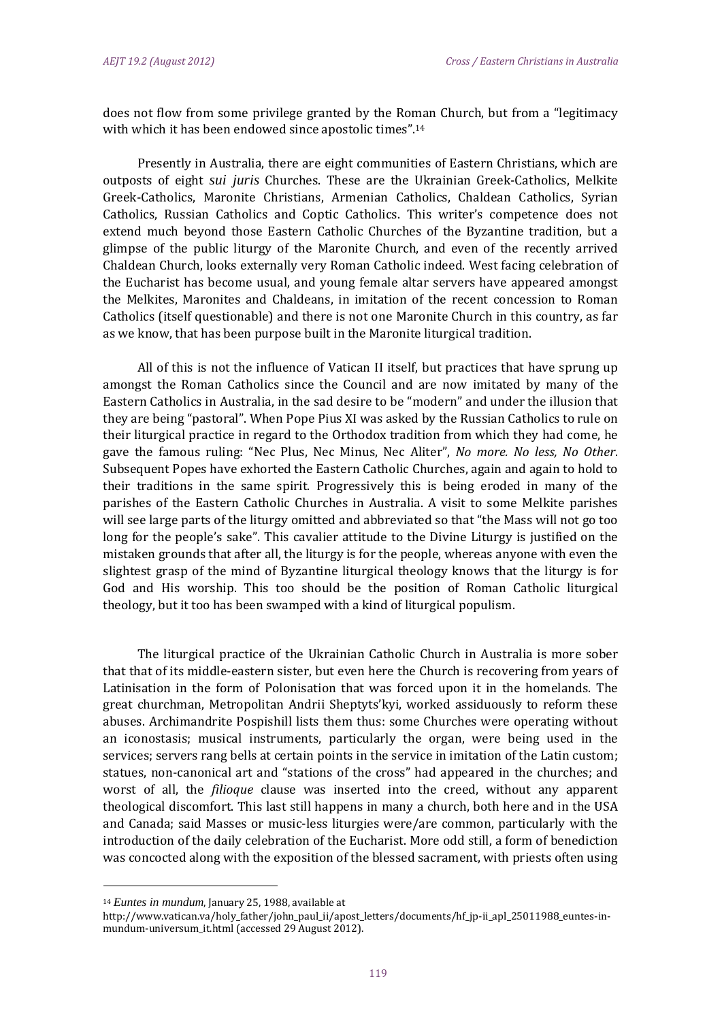does not flow from some privilege granted by the Roman Church, but from a "legitimacy with which it has been endowed since apostolic times".<sup>14</sup>

Presently in Australia, there are eight communities of Eastern Christians, which are outposts of eight *sui juris* Churches. These are the Ukrainian Greek-Catholics, Melkite Greek-Catholics, Maronite Christians, Armenian Catholics, Chaldean Catholics, Syrian Catholics, Russian Catholics and Coptic Catholics. This writer's competence does not extend much beyond those Eastern Catholic Churches of the Byzantine tradition, but a glimpse of the public liturgy of the Maronite Church, and even of the recently arrived Chaldean Church, looks externally very Roman Catholic indeed. West facing celebration of the Eucharist has become usual, and young female altar servers have appeared amongst the Melkites, Maronites and Chaldeans, in imitation of the recent concession to Roman Catholics (itself questionable) and there is not one Maronite Church in this country, as far as we know, that has been purpose built in the Maronite liturgical tradition.

All of this is not the influence of Vatican II itself, but practices that have sprung up amongst the Roman Catholics since the Council and are now imitated by many of the Eastern Catholics in Australia, in the sad desire to be "modern" and under the illusion that they are being "pastoral". When Pope Pius XI was asked by the Russian Catholics to rule on their liturgical practice in regard to the Orthodox tradition from which they had come, he gave the famous ruling: "Nec Plus, Nec Minus, Nec Aliter", No more. No less, No Other. Subsequent Popes have exhorted the Eastern Catholic Churches, again and again to hold to their traditions in the same spirit. Progressively this is being eroded in many of the parishes of the Eastern Catholic Churches in Australia. A visit to some Melkite parishes will see large parts of the liturgy omitted and abbreviated so that "the Mass will not go too long for the people's sake". This cavalier attitude to the Divine Liturgy is justified on the mistaken grounds that after all, the liturgy is for the people, whereas anyone with even the slightest grasp of the mind of Byzantine liturgical theology knows that the liturgy is for God and His worship. This too should be the position of Roman Catholic liturgical theology, but it too has been swamped with a kind of liturgical populism.

The liturgical practice of the Ukrainian Catholic Church in Australia is more sober that that of its middle-eastern sister, but even here the Church is recovering from years of Latinisation in the form of Polonisation that was forced upon it in the homelands. The great churchman, Metropolitan Andrii Sheptyts'kyi, worked assiduously to reform these abuses. Archimandrite Pospishill lists them thus: some Churches were operating without an iconostasis; musical instruments, particularly the organ, were being used in the services; servers rang bells at certain points in the service in imitation of the Latin custom; statues, non-canonical art and "stations of the cross" had appeared in the churches; and worst of all, the *filioque* clause was inserted into the creed, without any apparent theological discomfort. This last still happens in many a church, both here and in the USA and Canada; said Masses or music-less liturgies were/are common, particularly with the introduction of the daily celebration of the Eucharist. More odd still, a form of benediction was concocted along with the exposition of the blessed sacrament, with priests often using

<sup>&</sup>lt;sup>14</sup> *Euntes in mundum*, January 25, 1988, available at

http://www.vatican.va/holy\_father/john\_paul\_ii/apost\_letters/documents/hf\_jp-ii\_apl\_25011988\_euntes-inmundum-universum\_it.html (accessed 29 August 2012).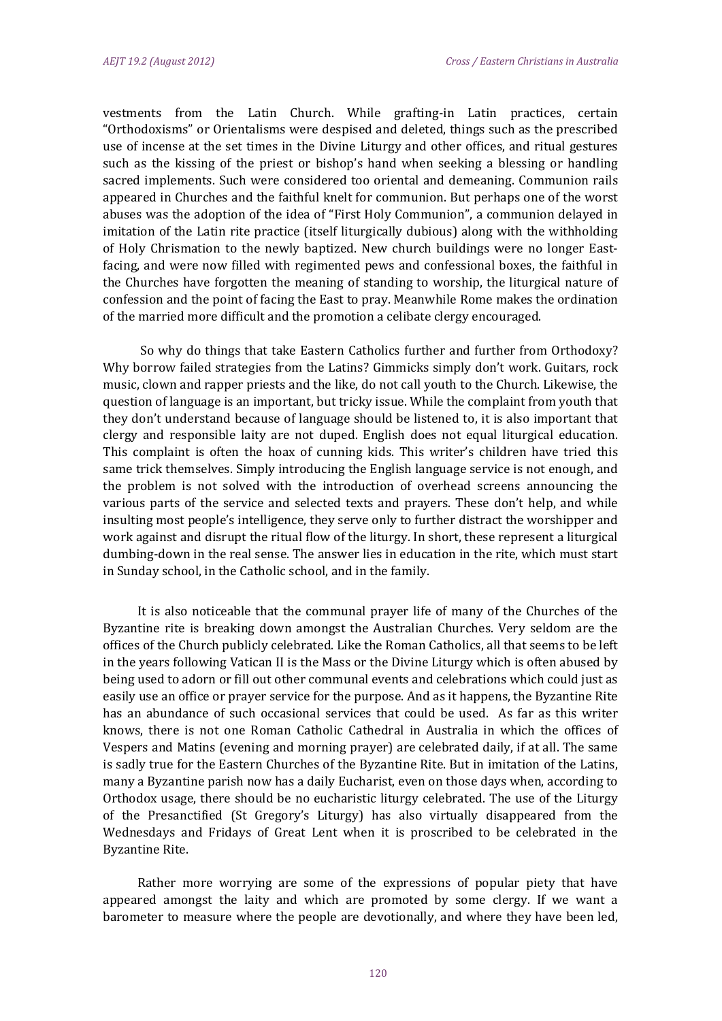vestments from the Latin Church. While grafting-in Latin practices, certain "Orthodoxisms" or Orientalisms were despised and deleted, things such as the prescribed use of incense at the set times in the Divine Liturgy and other offices, and ritual gestures such as the kissing of the priest or bishop's hand when seeking a blessing or handling sacred implements. Such were considered too oriental and demeaning. Communion rails appeared in Churches and the faithful knelt for communion. But perhaps one of the worst abuses was the adoption of the idea of "First Holy Communion", a communion delayed in imitation of the Latin rite practice (itself liturgically dubious) along with the withholding of Holy Chrismation to the newly baptized. New church buildings were no longer Eastfacing, and were now filled with regimented pews and confessional boxes, the faithful in the Churches have forgotten the meaning of standing to worship, the liturgical nature of confession and the point of facing the East to pray. Meanwhile Rome makes the ordination of the married more difficult and the promotion a celibate clergy encouraged.

So why do things that take Eastern Catholics further and further from Orthodoxy? Why borrow failed strategies from the Latins? Gimmicks simply don't work. Guitars, rock music, clown and rapper priests and the like, do not call youth to the Church. Likewise, the question of language is an important, but tricky issue. While the complaint from youth that they don't understand because of language should be listened to, it is also important that clergy and responsible laity are not duped. English does not equal liturgical education. This complaint is often the hoax of cunning kids. This writer's children have tried this same trick themselves. Simply introducing the English language service is not enough, and the problem is not solved with the introduction of overhead screens announcing the various parts of the service and selected texts and prayers. These don't help, and while insulting most people's intelligence, they serve only to further distract the worshipper and work against and disrupt the ritual flow of the liturgy. In short, these represent a liturgical dumbing-down in the real sense. The answer lies in education in the rite, which must start in Sunday school, in the Catholic school, and in the family.

It is also noticeable that the communal prayer life of many of the Churches of the Byzantine rite is breaking down amongst the Australian Churches. Very seldom are the offices of the Church publicly celebrated. Like the Roman Catholics, all that seems to be left in the years following Vatican II is the Mass or the Divine Liturgy which is often abused by being used to adorn or fill out other communal events and celebrations which could just as easily use an office or prayer service for the purpose. And as it happens, the Byzantine Rite has an abundance of such occasional services that could be used. As far as this writer knows, there is not one Roman Catholic Cathedral in Australia in which the offices of Vespers and Matins (evening and morning prayer) are celebrated daily, if at all. The same is sadly true for the Eastern Churches of the Byzantine Rite. But in imitation of the Latins, many a Byzantine parish now has a daily Eucharist, even on those days when, according to Orthodox usage, there should be no eucharistic liturgy celebrated. The use of the Liturgy of the Presanctified (St Gregory's Liturgy) has also virtually disappeared from the Wednesdays and Fridays of Great Lent when it is proscribed to be celebrated in the **Byzantine Rite.** 

Rather more worrying are some of the expressions of popular piety that have appeared amongst the laity and which are promoted by some clergy. If we want a barometer to measure where the people are devotionally, and where they have been led,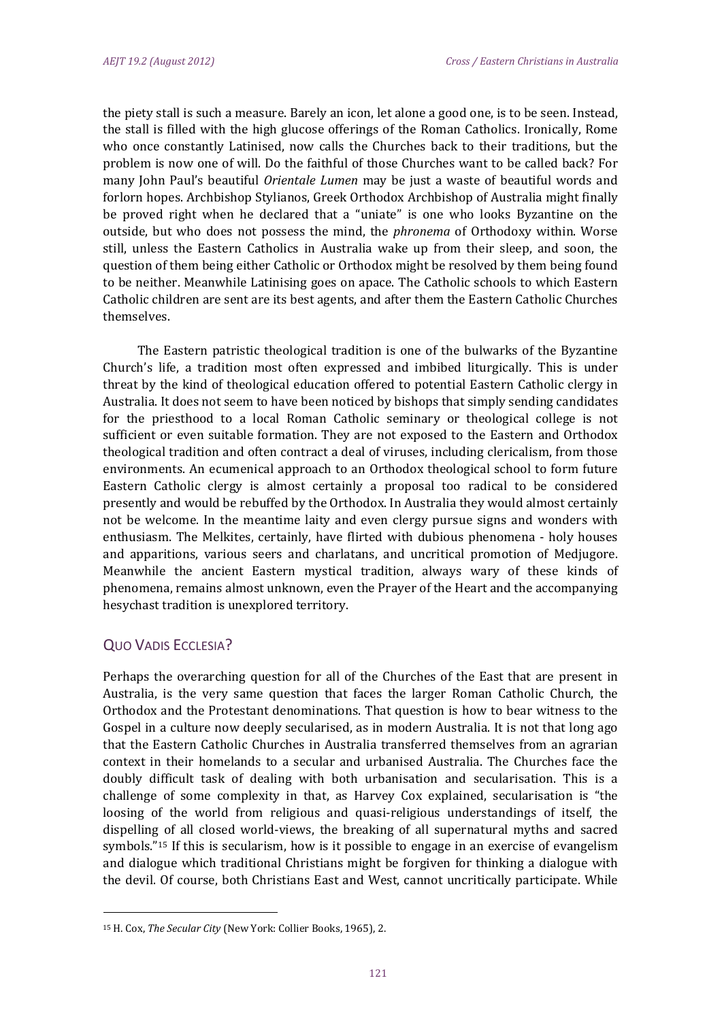the piety stall is such a measure. Barely an icon, let alone a good one, is to be seen. Instead, the stall is filled with the high glucose offerings of the Roman Catholics. Ironically, Rome who once constantly Latinised, now calls the Churches back to their traditions, but the problem is now one of will. Do the faithful of those Churches want to be called back? For many John Paul's beautiful *Orientale Lumen* may be just a waste of beautiful words and forlorn hopes. Archbishop Stylianos, Greek Orthodox Archbishop of Australia might finally be proved right when he declared that a "uniate" is one who looks Byzantine on the outside, but who does not possess the mind, the *phronema* of Orthodoxy within. Worse still, unless the Eastern Catholics in Australia wake up from their sleep, and soon, the question of them being either Catholic or Orthodox might be resolved by them being found to be neither. Meanwhile Latinising goes on apace. The Catholic schools to which Eastern Catholic children are sent are its best agents, and after them the Eastern Catholic Churches themselves. 

The Eastern patristic theological tradition is one of the bulwarks of the Byzantine Church's life, a tradition most often expressed and imbibed liturgically. This is under threat by the kind of theological education offered to potential Eastern Catholic clergy in Australia. It does not seem to have been noticed by bishops that simply sending candidates for the priesthood to a local Roman Catholic seminary or theological college is not sufficient or even suitable formation. They are not exposed to the Eastern and Orthodox theological tradition and often contract a deal of viruses, including clericalism, from those environments. An ecumenical approach to an Orthodox theological school to form future Eastern Catholic clergy is almost certainly a proposal too radical to be considered presently and would be rebuffed by the Orthodox. In Australia they would almost certainly not be welcome. In the meantime laity and even clergy pursue signs and wonders with enthusiasm. The Melkites, certainly, have flirted with dubious phenomena - holy houses and apparitions, various seers and charlatans, and uncritical promotion of Medjugore. Meanwhile the ancient Eastern mystical tradition, always wary of these kinds of phenomena, remains almost unknown, even the Prayer of the Heart and the accompanying hesychast tradition is unexplored territory.

## QUO VADIS ECCLESIA?

Perhaps the overarching question for all of the Churches of the East that are present in Australia, is the very same question that faces the larger Roman Catholic Church, the Orthodox and the Protestant denominations. That question is how to bear witness to the Gospel in a culture now deeply secularised, as in modern Australia. It is not that long ago that the Eastern Catholic Churches in Australia transferred themselves from an agrarian context in their homelands to a secular and urbanised Australia. The Churches face the doubly difficult task of dealing with both urbanisation and secularisation. This is a challenge of some complexity in that, as Harvey Cox explained, secularisation is "the loosing of the world from religious and quasi-religious understandings of itself, the dispelling of all closed world-views, the breaking of all supernatural myths and sacred symbols."<sup>15</sup> If this is secularism, how is it possible to engage in an exercise of evangelism and dialogue which traditional Christians might be forgiven for thinking a dialogue with the devil. Of course, both Christians East and West, cannot uncritically participate. While

<sup>&</sup>lt;sup>15</sup> H. Cox, *The Secular City* (New York: Collier Books, 1965), 2.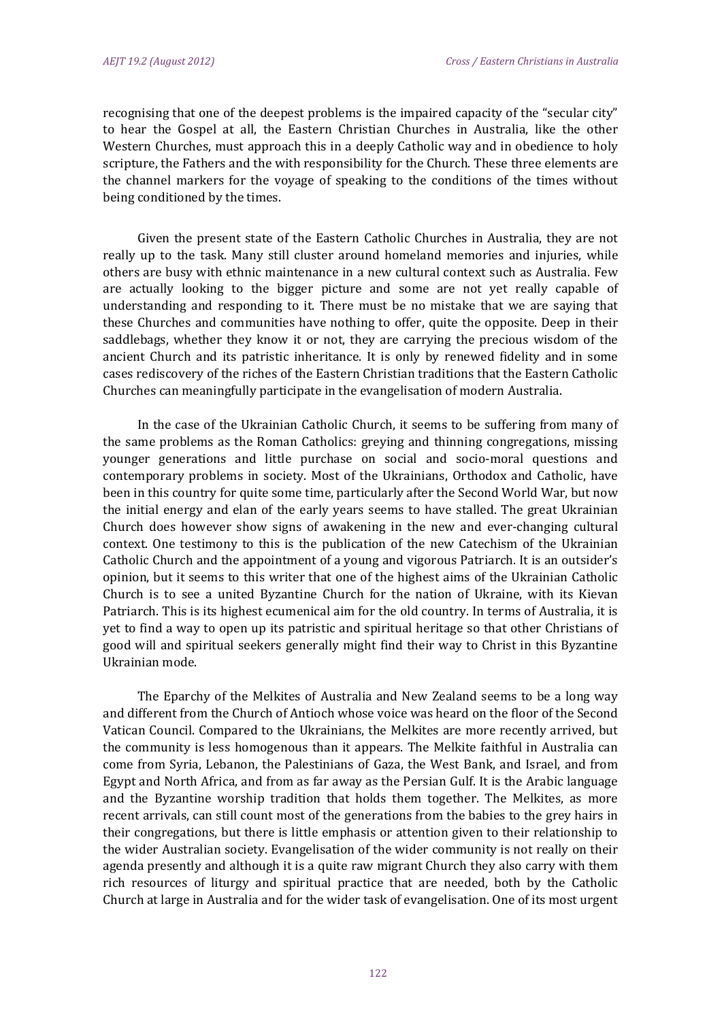recognising that one of the deepest problems is the impaired capacity of the "secular city" to hear the Gospel at all, the Eastern Christian Churches in Australia, like the other Western Churches, must approach this in a deeply Catholic way and in obedience to holy scripture, the Fathers and the with responsibility for the Church. These three elements are the channel markers for the voyage of speaking to the conditions of the times without being conditioned by the times.

Given the present state of the Eastern Catholic Churches in Australia, they are not really up to the task. Many still cluster around homeland memories and injuries, while others are busy with ethnic maintenance in a new cultural context such as Australia. Few are actually looking to the bigger picture and some are not yet really capable of understanding and responding to it. There must be no mistake that we are saying that these Churches and communities have nothing to offer, quite the opposite. Deep in their saddlebags, whether they know it or not, they are carrying the precious wisdom of the ancient Church and its patristic inheritance. It is only by renewed fidelity and in some cases rediscovery of the riches of the Eastern Christian traditions that the Eastern Catholic Churches can meaningfully participate in the evangelisation of modern Australia.

In the case of the Ukrainian Catholic Church, it seems to be suffering from many of the same problems as the Roman Catholics: greying and thinning congregations, missing younger generations and little purchase on social and socio-moral questions and contemporary problems in society. Most of the Ukrainians, Orthodox and Catholic, have been in this country for quite some time, particularly after the Second World War, but now the initial energy and elan of the early years seems to have stalled. The great Ukrainian Church does however show signs of awakening in the new and ever-changing cultural context. One testimony to this is the publication of the new Catechism of the Ukrainian Catholic Church and the appointment of a young and vigorous Patriarch. It is an outsider's opinion, but it seems to this writer that one of the highest aims of the Ukrainian Catholic Church is to see a united Byzantine Church for the nation of Ukraine, with its Kievan Patriarch. This is its highest ecumenical aim for the old country. In terms of Australia, it is yet to find a way to open up its patristic and spiritual heritage so that other Christians of good will and spiritual seekers generally might find their way to Christ in this Byzantine Ukrainian mode.

The Eparchy of the Melkites of Australia and New Zealand seems to be a long way and different from the Church of Antioch whose voice was heard on the floor of the Second Vatican Council. Compared to the Ukrainians, the Melkites are more recently arrived, but the community is less homogenous than it appears. The Melkite faithful in Australia can come from Syria, Lebanon, the Palestinians of Gaza, the West Bank, and Israel, and from Egypt and North Africa, and from as far away as the Persian Gulf. It is the Arabic language and the Byzantine worship tradition that holds them together. The Melkites, as more recent arrivals, can still count most of the generations from the babies to the grey hairs in their congregations, but there is little emphasis or attention given to their relationship to the wider Australian society. Evangelisation of the wider community is not really on their agenda presently and although it is a quite raw migrant Church they also carry with them rich resources of liturgy and spiritual practice that are needed, both by the Catholic Church at large in Australia and for the wider task of evangelisation. One of its most urgent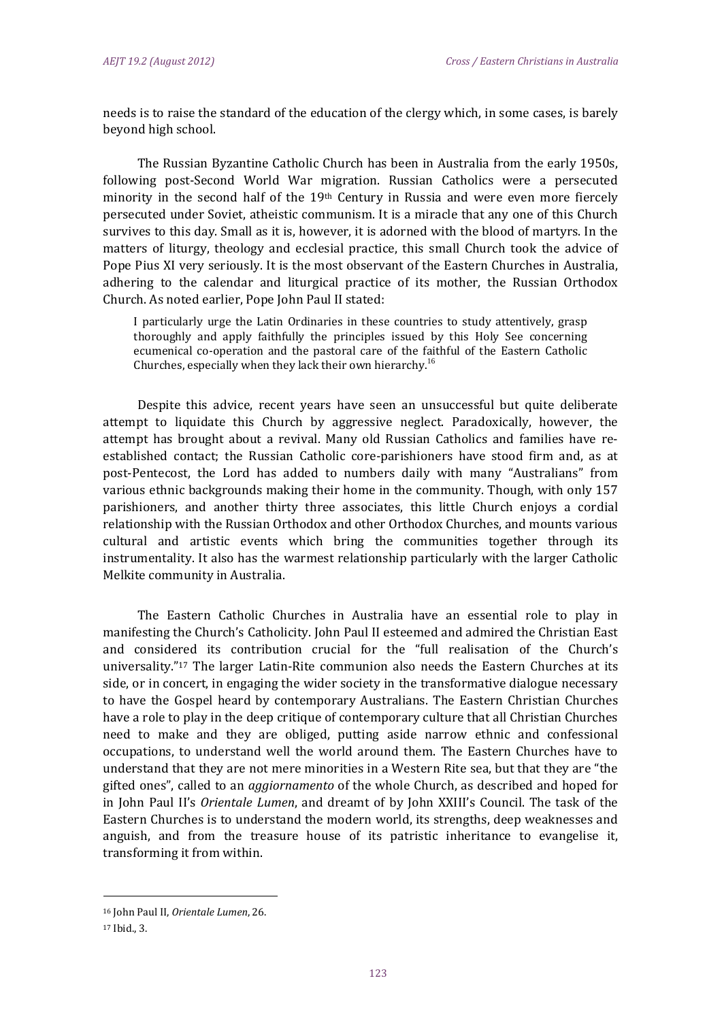needs is to raise the standard of the education of the clergy which, in some cases, is barely beyond high school.

The Russian Byzantine Catholic Church has been in Australia from the early 1950s, following post-Second World War migration. Russian Catholics were a persecuted minority in the second half of the  $19<sup>th</sup>$  Century in Russia and were even more fiercely persecuted under Soviet, atheistic communism. It is a miracle that any one of this Church survives to this day. Small as it is, however, it is adorned with the blood of martyrs. In the matters of liturgy, theology and ecclesial practice, this small Church took the advice of Pope Pius XI very seriously. It is the most observant of the Eastern Churches in Australia, adhering to the calendar and liturgical practice of its mother, the Russian Orthodox Church. As noted earlier, Pope John Paul II stated:

I particularly urge the Latin Ordinaries in these countries to study attentively, grasp thoroughly and apply faithfully the principles issued by this Holy See concerning ecumenical co-operation and the pastoral care of the faithful of the Eastern Catholic Churches, especially when they lack their own hierarchy.<sup>16</sup>

Despite this advice, recent years have seen an unsuccessful but quite deliberate attempt to liquidate this Church by aggressive neglect. Paradoxically, however, the attempt has brought about a revival. Many old Russian Catholics and families have reestablished contact; the Russian Catholic core-parishioners have stood firm and, as at post-Pentecost, the Lord has added to numbers daily with many "Australians" from various ethnic backgrounds making their home in the community. Though, with only 157 parishioners, and another thirty three associates, this little Church enjoys a cordial relationship with the Russian Orthodox and other Orthodox Churches, and mounts various cultural and artistic events which bring the communities together through its instrumentality. It also has the warmest relationship particularly with the larger Catholic Melkite community in Australia.

The Eastern Catholic Churches in Australia have an essential role to play in manifesting the Church's Catholicity. John Paul II esteemed and admired the Christian East and considered its contribution crucial for the "full realisation of the Church's universality."<sup>17</sup> The larger Latin-Rite communion also needs the Eastern Churches at its side, or in concert, in engaging the wider society in the transformative dialogue necessary to have the Gospel heard by contemporary Australians. The Eastern Christian Churches have a role to play in the deep critique of contemporary culture that all Christian Churches need to make and they are obliged, putting aside narrow ethnic and confessional occupations, to understand well the world around them. The Eastern Churches have to understand that they are not mere minorities in a Western Rite sea, but that they are "the gifted ones", called to an *aggiornamento* of the whole Church, as described and hoped for in John Paul II's *Orientale Lumen*, and dreamt of by John XXIII's Council. The task of the Eastern Churches is to understand the modern world, its strengths, deep weaknesses and anguish, and from the treasure house of its patristic inheritance to evangelise it, transforming it from within.

 16 John Paul II, *Orientale Lumen*, 26. 

<sup>17</sup> Ibid., 3.